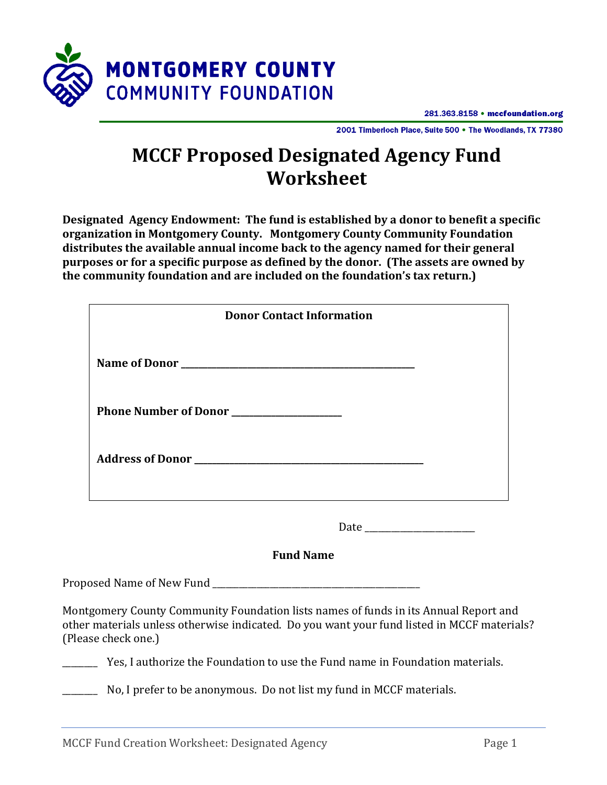

281.363.8158 • mccfoundation.org

2001 Timberloch Place, Suite 500 . The Woodlands, TX 77380

## **MCCF Proposed Designated Agency Fund Worksheet**

**Designated Agency Endowment: The fund is established by a donor to benefit a specific organization in Montgomery County. Montgomery County Community Foundation distributes the available annual income back to the agency named for their general purposes or for a specific purpose as defined by the donor. (The assets are owned by the community foundation and are included on the foundation's tax return.)**

| <b>Donor Contact Information</b>                                      |
|-----------------------------------------------------------------------|
| Name of Donor                                                         |
| Phone Number of Donor                                                 |
| Address of Donor North Communications and the Communications of Donor |

Date \_\_\_\_\_\_\_\_\_\_\_\_\_\_\_\_\_\_\_\_\_\_\_\_\_

**Fund Name**

Proposed Name of New Fund \_\_\_\_\_\_\_\_\_\_\_\_\_\_\_\_\_\_\_\_\_\_\_\_\_\_\_\_\_\_\_\_\_\_\_\_\_\_\_\_\_\_\_\_\_\_\_

Montgomery County Community Foundation lists names of funds in its Annual Report and other materials unless otherwise indicated. Do you want your fund listed in MCCF materials? (Please check one.)

\_\_\_\_\_\_\_\_ Yes, I authorize the Foundation to use the Fund name in Foundation materials.

\_\_\_\_\_\_\_\_ No, I prefer to be anonymous. Do not list my fund in MCCF materials.